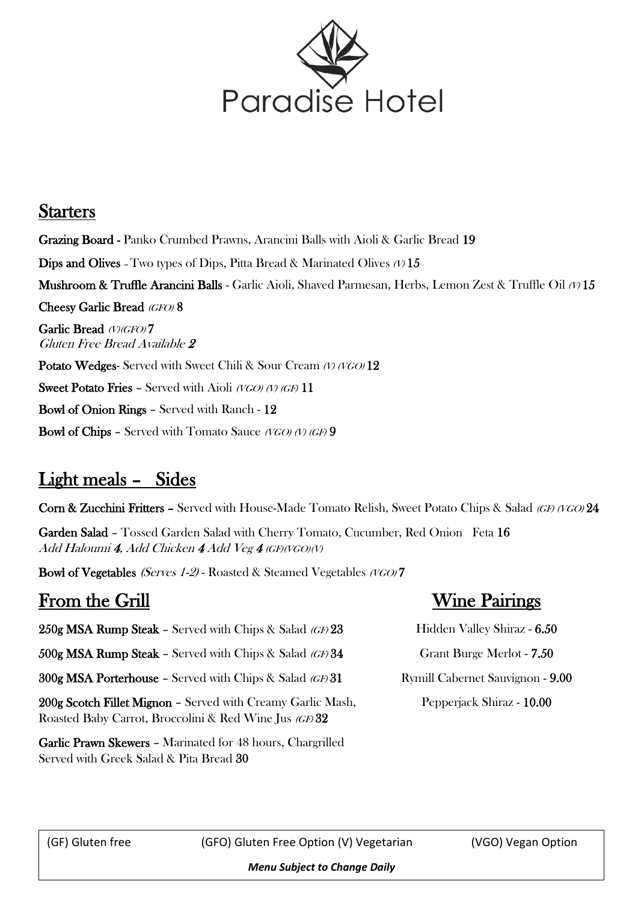

#### **Starters**

Grazing Board - Panko Crumbed Prawns, Arancini Balls with Aioli & Garlic Bread 19 **Dips and Olives** - Two types of Dips, Pitta Bread & Marinated Olives  $(1/15)$ **Mushroom & Truffle Arancini Balls -** Garlic Aioli, Shaved Parmesan, Herbs, Lemon Zest & Truffle Oil  $\varnothing$  15 Cheesy Garlic Bread (GFO) 8 Garlic Bread (V)(GFO)7 Gluten Free Bread Available 2 Potato Wedges- Served with Sweet Chili & Sour Cream (V) (VGO) 12 **Sweet Potato Fries - Served with Aioli (VGO) (V) (GF) 11** Bowl of Onion Rings – Served with Ranch - 12 **Bowl of Chips - Served with Tomato Sauce (VGO) (V) (GF)** 9

## Light meals – Sides

Corn & Zucchini Fritters – Served with House-Made Tomato Relish, Sweet Potato Chips & Salad (GF) (VGO) 24

Garden Salad – Tossed Garden Salad with Cherry Tomato, Cucumber, Red Onion Feta 16 Add Haloumi 4, Add Chicken 4 Add Veg 4 (GF)(VGO)(V)

Bowl of Vegetables (Serves 1-2) - Roasted & Steamed Vegetables (VGO) 7

## From the Grill

 $250g$  MSA Rump Steak – Served with Chips & Salad (GF)  $23$  $500g$  MSA Rump Steak - Served with Chips & Salad (GF) 34  $300g$  MSA Porterhouse - Served with Chips & Salad (GF) 31 200g Scotch Fillet Mignon - Served with Creamy Garlic Mash Roasted Baby Carrot, Broccolini & Red Wine Jus (GF) 32

#### Garlic Prawn Skewers – Marinated for 48 hours, Chargrilled Served with Greek Salad & Pita Bread 30

## Wine Pairings

| Hidden Valley Shiraz - 6.50      |
|----------------------------------|
| Grant Burge Merlot - 7.50        |
| Rymill Cabernet Sauvignon - 9.00 |
| Pepperjack Shiraz - 10.00        |

ſ

(GF) Gluten free (GFO) Gluten Free Option (V) Vegetarian (VGO) Vegan Option

*Menu Subject to Change Daily*